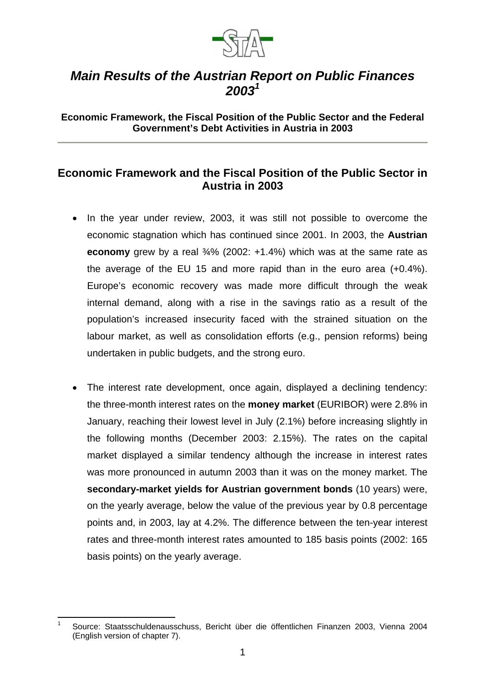

## *Main Results of the Austrian Report on Public Finances 2003<sup>1</sup>*

**Economic Framework, the Fiscal Position of the Public Sector and the Federal Government's Debt Activities in Austria in 2003** 

## **Economic Framework and the Fiscal Position of the Public Sector in Austria in 2003**

- In the year under review, 2003, it was still not possible to overcome the economic stagnation which has continued since 2001. In 2003, the **Austrian economy** grew by a real ¾% (2002: +1.4%) which was at the same rate as the average of the EU 15 and more rapid than in the euro area (+0.4%). Europe's economic recovery was made more difficult through the weak internal demand, along with a rise in the savings ratio as a result of the population's increased insecurity faced with the strained situation on the labour market, as well as consolidation efforts (e.g., pension reforms) being undertaken in public budgets, and the strong euro.
- The interest rate development, once again, displayed a declining tendency: the three-month interest rates on the **money market** (EURIBOR) were 2.8% in January, reaching their lowest level in July (2.1%) before increasing slightly in the following months (December 2003: 2.15%). The rates on the capital market displayed a similar tendency although the increase in interest rates was more pronounced in autumn 2003 than it was on the money market. The **secondary-market yields for Austrian government bonds** (10 years) were, on the yearly average, below the value of the previous year by 0.8 percentage points and, in 2003, lay at 4.2%. The difference between the ten-year interest rates and three-month interest rates amounted to 185 basis points (2002: 165 basis points) on the yearly average.

<sup>1</sup> 1 Source: Staatsschuldenausschuss, Bericht über die öffentlichen Finanzen 2003, Vienna 2004 (English version of chapter 7).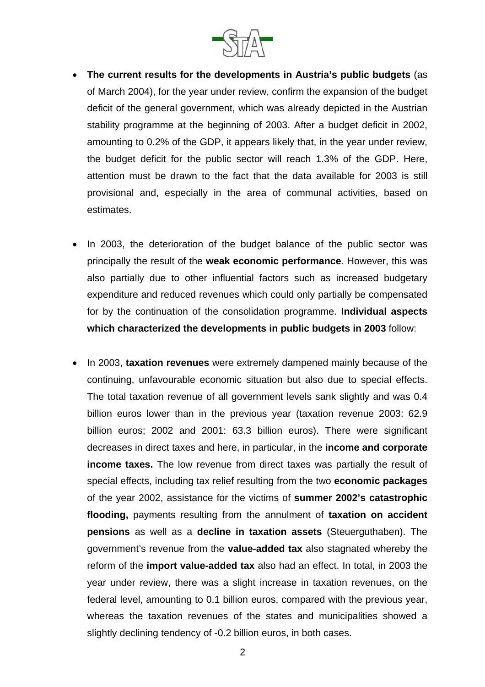

- **The current results for the developments in Austria's public budgets** (as of March 2004), for the year under review, confirm the expansion of the budget deficit of the general government, which was already depicted in the Austrian stability programme at the beginning of 2003. After a budget deficit in 2002, amounting to 0.2% of the GDP, it appears likely that, in the year under review, the budget deficit for the public sector will reach 1.3% of the GDP. Here, attention must be drawn to the fact that the data available for 2003 is still provisional and, especially in the area of communal activities, based on estimates.
- In 2003, the deterioration of the budget balance of the public sector was principally the result of the **weak economic performance**. However, this was also partially due to other influential factors such as increased budgetary expenditure and reduced revenues which could only partially be compensated for by the continuation of the consolidation programme. **Individual aspects which characterized the developments in public budgets in 2003** follow:
- In 2003, **taxation revenues** were extremely dampened mainly because of the continuing, unfavourable economic situation but also due to special effects. The total taxation revenue of all government levels sank slightly and was 0.4 billion euros lower than in the previous year (taxation revenue 2003: 62.9 billion euros; 2002 and 2001: 63.3 billion euros). There were significant decreases in direct taxes and here, in particular, in the **income and corporate income taxes.** The low revenue from direct taxes was partially the result of special effects, including tax relief resulting from the two **economic packages**  of the year 2002, assistance for the victims of **summer 2002's catastrophic flooding,** payments resulting from the annulment of **taxation on accident pensions** as well as a **decline in taxation assets** (Steuerguthaben). The government's revenue from the **value-added tax** also stagnated whereby the reform of the **import value-added tax** also had an effect. In total, in 2003 the year under review, there was a slight increase in taxation revenues, on the federal level, amounting to 0.1 billion euros, compared with the previous year, whereas the taxation revenues of the states and municipalities showed a slightly declining tendency of -0.2 billion euros, in both cases.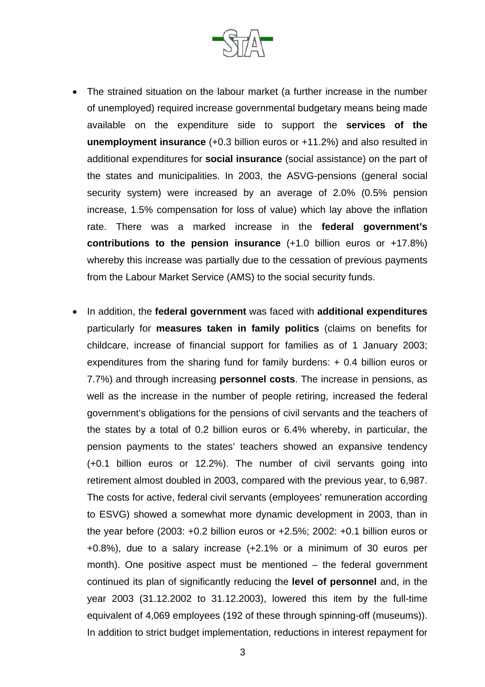

- The strained situation on the labour market (a further increase in the number of unemployed) required increase governmental budgetary means being made available on the expenditure side to support the **services of the unemployment insurance** (+0.3 billion euros or +11.2%) and also resulted in additional expenditures for **social insurance** (social assistance) on the part of the states and municipalities. In 2003, the ASVG-pensions (general social security system) were increased by an average of 2.0% (0.5% pension increase, 1.5% compensation for loss of value) which lay above the inflation rate. There was a marked increase in the **federal government's contributions to the pension insurance** (+1.0 billion euros or +17.8%) whereby this increase was partially due to the cessation of previous payments from the Labour Market Service (AMS) to the social security funds.
- In addition, the **federal government** was faced with **additional expenditures**  particularly for **measures taken in family politics** (claims on benefits for childcare, increase of financial support for families as of 1 January 2003; expenditures from the sharing fund for family burdens: + 0.4 billion euros or 7.7%) and through increasing **personnel costs**. The increase in pensions, as well as the increase in the number of people retiring, increased the federal government's obligations for the pensions of civil servants and the teachers of the states by a total of 0.2 billion euros or 6.4% whereby, in particular, the pension payments to the states' teachers showed an expansive tendency (+0.1 billion euros or 12.2%). The number of civil servants going into retirement almost doubled in 2003, compared with the previous year, to 6,987. The costs for active, federal civil servants (employees' remuneration according to ESVG) showed a somewhat more dynamic development in 2003, than in the year before (2003: +0.2 billion euros or +2.5%; 2002: +0.1 billion euros or +0.8%), due to a salary increase (+2.1% or a minimum of 30 euros per month). One positive aspect must be mentioned – the federal government continued its plan of significantly reducing the **level of personnel** and, in the year 2003 (31.12.2002 to 31.12.2003), lowered this item by the full-time equivalent of 4,069 employees (192 of these through spinning-off (museums)). In addition to strict budget implementation, reductions in interest repayment for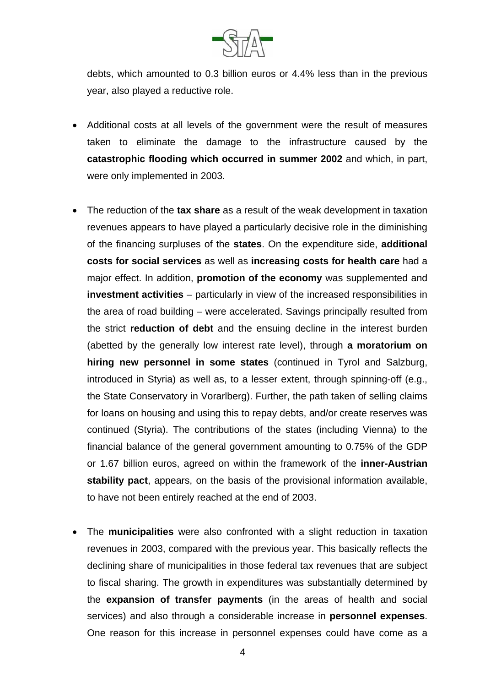

debts, which amounted to 0.3 billion euros or 4.4% less than in the previous year, also played a reductive role.

- Additional costs at all levels of the government were the result of measures taken to eliminate the damage to the infrastructure caused by the **catastrophic flooding which occurred in summer 2002** and which, in part, were only implemented in 2003.
- The reduction of the **tax share** as a result of the weak development in taxation revenues appears to have played a particularly decisive role in the diminishing of the financing surpluses of the **states**. On the expenditure side, **additional costs for social services** as well as **increasing costs for health care** had a major effect. In addition, **promotion of the economy** was supplemented and **investment activities** – particularly in view of the increased responsibilities in the area of road building – were accelerated. Savings principally resulted from the strict **reduction of debt** and the ensuing decline in the interest burden (abetted by the generally low interest rate level), through **a moratorium on hiring new personnel in some states** (continued in Tyrol and Salzburg, introduced in Styria) as well as, to a lesser extent, through spinning-off (e.g., the State Conservatory in Vorarlberg). Further, the path taken of selling claims for loans on housing and using this to repay debts, and/or create reserves was continued (Styria). The contributions of the states (including Vienna) to the financial balance of the general government amounting to 0.75% of the GDP or 1.67 billion euros, agreed on within the framework of the **inner-Austrian stability pact**, appears, on the basis of the provisional information available, to have not been entirely reached at the end of 2003.
- The **municipalities** were also confronted with a slight reduction in taxation revenues in 2003, compared with the previous year. This basically reflects the declining share of municipalities in those federal tax revenues that are subject to fiscal sharing. The growth in expenditures was substantially determined by the **expansion of transfer payments** (in the areas of health and social services) and also through a considerable increase in **personnel expenses**. One reason for this increase in personnel expenses could have come as a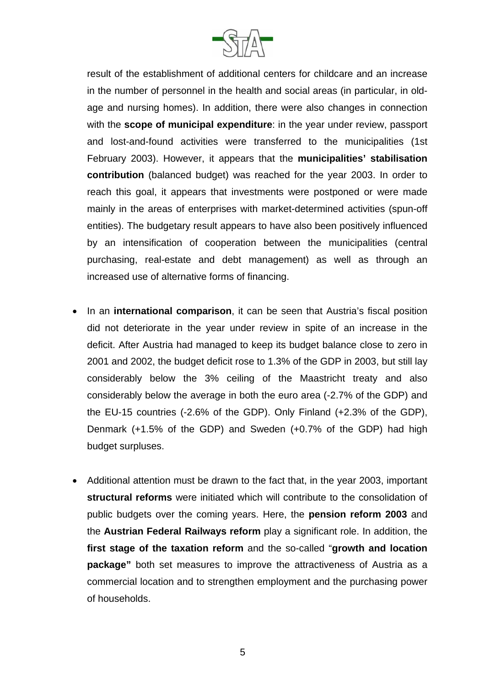

result of the establishment of additional centers for childcare and an increase in the number of personnel in the health and social areas (in particular, in oldage and nursing homes). In addition, there were also changes in connection with the **scope of municipal expenditure**: in the year under review, passport and lost-and-found activities were transferred to the municipalities (1st February 2003). However, it appears that the **municipalities' stabilisation contribution** (balanced budget) was reached for the year 2003. In order to reach this goal, it appears that investments were postponed or were made mainly in the areas of enterprises with market-determined activities (spun-off entities). The budgetary result appears to have also been positively influenced by an intensification of cooperation between the municipalities (central purchasing, real-estate and debt management) as well as through an increased use of alternative forms of financing.

- In an **international comparison**, it can be seen that Austria's fiscal position did not deteriorate in the year under review in spite of an increase in the deficit. After Austria had managed to keep its budget balance close to zero in 2001 and 2002, the budget deficit rose to 1.3% of the GDP in 2003, but still lay considerably below the 3% ceiling of the Maastricht treaty and also considerably below the average in both the euro area (-2.7% of the GDP) and the EU-15 countries (-2.6% of the GDP). Only Finland (+2.3% of the GDP), Denmark (+1.5% of the GDP) and Sweden (+0.7% of the GDP) had high budget surpluses.
- Additional attention must be drawn to the fact that, in the year 2003, important **structural reforms** were initiated which will contribute to the consolidation of public budgets over the coming years. Here, the **pension reform 2003** and the **Austrian Federal Railways reform** play a significant role. In addition, the **first stage of the taxation reform** and the so-called "**growth and location package"** both set measures to improve the attractiveness of Austria as a commercial location and to strengthen employment and the purchasing power of households.

5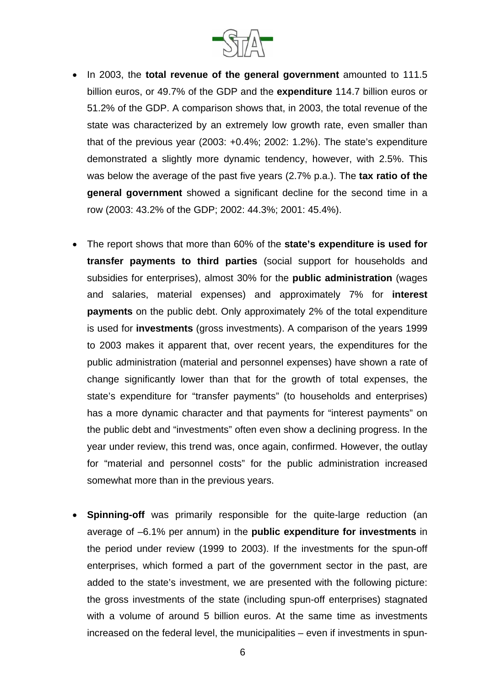

- In 2003, the **total revenue of the general government** amounted to 111.5 billion euros, or 49.7% of the GDP and the **expenditure** 114.7 billion euros or 51.2% of the GDP. A comparison shows that, in 2003, the total revenue of the state was characterized by an extremely low growth rate, even smaller than that of the previous year (2003: +0.4%; 2002: 1.2%). The state's expenditure demonstrated a slightly more dynamic tendency, however, with 2.5%. This was below the average of the past five years (2.7% p.a.). The **tax ratio of the general government** showed a significant decline for the second time in a row (2003: 43.2% of the GDP; 2002: 44.3%; 2001: 45.4%).
- The report shows that more than 60% of the **state's expenditure is used for transfer payments to third parties** (social support for households and subsidies for enterprises), almost 30% for the **public administration** (wages and salaries, material expenses) and approximately 7% for **interest payments** on the public debt. Only approximately 2% of the total expenditure is used for **investments** (gross investments). A comparison of the years 1999 to 2003 makes it apparent that, over recent years, the expenditures for the public administration (material and personnel expenses) have shown a rate of change significantly lower than that for the growth of total expenses, the state's expenditure for "transfer payments" (to households and enterprises) has a more dynamic character and that payments for "interest payments" on the public debt and "investments" often even show a declining progress. In the year under review, this trend was, once again, confirmed. However, the outlay for "material and personnel costs" for the public administration increased somewhat more than in the previous years.
- **Spinning-off** was primarily responsible for the quite-large reduction (an average of –6.1% per annum) in the **public expenditure for investments** in the period under review (1999 to 2003). If the investments for the spun-off enterprises, which formed a part of the government sector in the past, are added to the state's investment, we are presented with the following picture: the gross investments of the state (including spun-off enterprises) stagnated with a volume of around 5 billion euros. At the same time as investments increased on the federal level, the municipalities – even if investments in spun-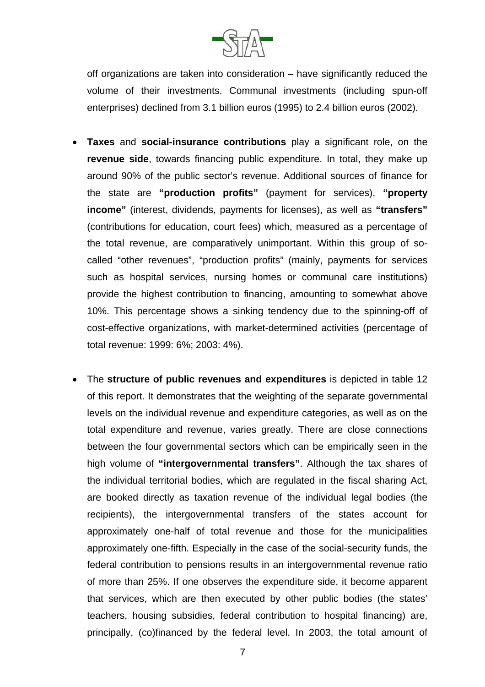

off organizations are taken into consideration – have significantly reduced the volume of their investments. Communal investments (including spun-off enterprises) declined from 3.1 billion euros (1995) to 2.4 billion euros (2002).

- **Taxes** and **social-insurance contributions** play a significant role, on the **revenue side**, towards financing public expenditure. In total, they make up around 90% of the public sector's revenue. Additional sources of finance for the state are **"production profits"** (payment for services), **"property income"** (interest, dividends, payments for licenses), as well as **"transfers"**  (contributions for education, court fees) which, measured as a percentage of the total revenue, are comparatively unimportant. Within this group of socalled "other revenues", "production profits" (mainly, payments for services such as hospital services, nursing homes or communal care institutions) provide the highest contribution to financing, amounting to somewhat above 10%. This percentage shows a sinking tendency due to the spinning-off of cost-effective organizations, with market-determined activities (percentage of total revenue: 1999: 6%; 2003: 4%).
- The **structure of public revenues and expenditures** is depicted in table 12 of this report. It demonstrates that the weighting of the separate governmental levels on the individual revenue and expenditure categories, as well as on the total expenditure and revenue, varies greatly. There are close connections between the four governmental sectors which can be empirically seen in the high volume of **"intergovernmental transfers"**. Although the tax shares of the individual territorial bodies, which are regulated in the fiscal sharing Act, are booked directly as taxation revenue of the individual legal bodies (the recipients), the intergovernmental transfers of the states account for approximately one-half of total revenue and those for the municipalities approximately one-fifth. Especially in the case of the social-security funds, the federal contribution to pensions results in an intergovernmental revenue ratio of more than 25%. If one observes the expenditure side, it become apparent that services, which are then executed by other public bodies (the states' teachers, housing subsidies, federal contribution to hospital financing) are, principally, (co)financed by the federal level. In 2003, the total amount of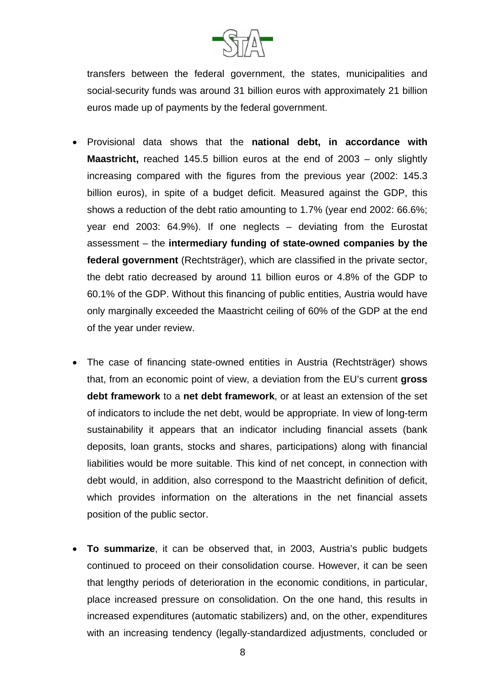

transfers between the federal government, the states, municipalities and social-security funds was around 31 billion euros with approximately 21 billion euros made up of payments by the federal government.

- Provisional data shows that the **national debt, in accordance with Maastricht, reached 145.5 billion euros at the end of 2003 – only slightly** increasing compared with the figures from the previous year (2002: 145.3 billion euros), in spite of a budget deficit. Measured against the GDP, this shows a reduction of the debt ratio amounting to 1.7% (year end 2002: 66.6%; year end 2003: 64.9%). If one neglects – deviating from the Eurostat assessment – the **intermediary funding of state-owned companies by the federal government** (Rechtsträger), which are classified in the private sector, the debt ratio decreased by around 11 billion euros or 4.8% of the GDP to 60.1% of the GDP. Without this financing of public entities, Austria would have only marginally exceeded the Maastricht ceiling of 60% of the GDP at the end of the year under review.
- The case of financing state-owned entities in Austria (Rechtsträger) shows that, from an economic point of view, a deviation from the EU's current **gross debt framework** to a **net debt framework**, or at least an extension of the set of indicators to include the net debt, would be appropriate. In view of long-term sustainability it appears that an indicator including financial assets (bank deposits, loan grants, stocks and shares, participations) along with financial liabilities would be more suitable. This kind of net concept, in connection with debt would, in addition, also correspond to the Maastricht definition of deficit, which provides information on the alterations in the net financial assets position of the public sector.
- **To summarize**, it can be observed that, in 2003, Austria's public budgets continued to proceed on their consolidation course. However, it can be seen that lengthy periods of deterioration in the economic conditions, in particular, place increased pressure on consolidation. On the one hand, this results in increased expenditures (automatic stabilizers) and, on the other, expenditures with an increasing tendency (legally-standardized adjustments, concluded or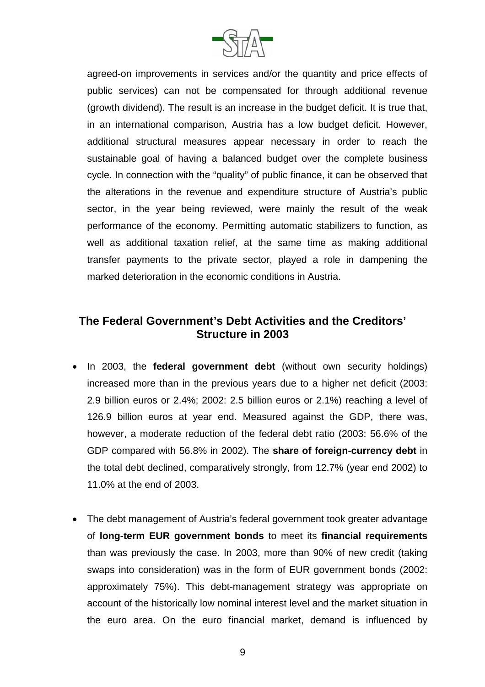

agreed-on improvements in services and/or the quantity and price effects of public services) can not be compensated for through additional revenue (growth dividend). The result is an increase in the budget deficit. It is true that, in an international comparison, Austria has a low budget deficit. However, additional structural measures appear necessary in order to reach the sustainable goal of having a balanced budget over the complete business cycle. In connection with the "quality" of public finance, it can be observed that the alterations in the revenue and expenditure structure of Austria's public sector, in the year being reviewed, were mainly the result of the weak performance of the economy. Permitting automatic stabilizers to function, as well as additional taxation relief, at the same time as making additional transfer payments to the private sector, played a role in dampening the marked deterioration in the economic conditions in Austria.

## **The Federal Government's Debt Activities and the Creditors' Structure in 2003**

- In 2003, the **federal government debt** (without own security holdings) increased more than in the previous years due to a higher net deficit (2003: 2.9 billion euros or 2.4%; 2002: 2.5 billion euros or 2.1%) reaching a level of 126.9 billion euros at year end. Measured against the GDP, there was, however, a moderate reduction of the federal debt ratio (2003: 56.6% of the GDP compared with 56.8% in 2002). The **share of foreign-currency debt** in the total debt declined, comparatively strongly, from 12.7% (year end 2002) to 11.0% at the end of 2003.
- The debt management of Austria's federal government took greater advantage of **long-term EUR government bonds** to meet its **financial requirements**  than was previously the case. In 2003, more than 90% of new credit (taking swaps into consideration) was in the form of EUR government bonds (2002: approximately 75%). This debt-management strategy was appropriate on account of the historically low nominal interest level and the market situation in the euro area. On the euro financial market, demand is influenced by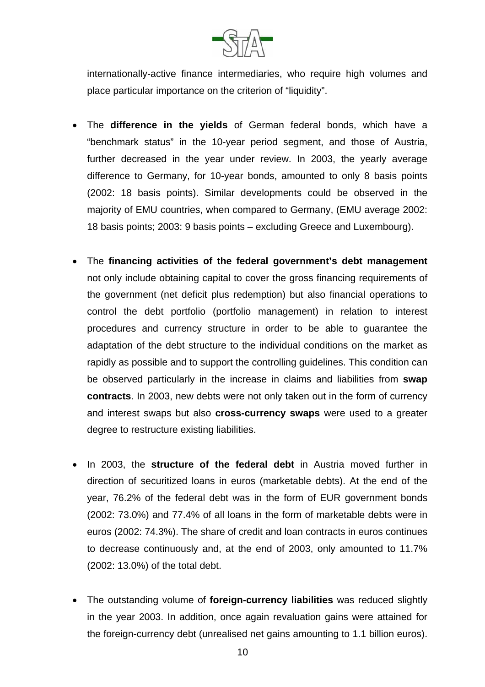

internationally-active finance intermediaries, who require high volumes and place particular importance on the criterion of "liquidity".

- The **difference in the yields** of German federal bonds, which have a "benchmark status" in the 10-year period segment, and those of Austria, further decreased in the year under review. In 2003, the yearly average difference to Germany, for 10-year bonds, amounted to only 8 basis points (2002: 18 basis points). Similar developments could be observed in the majority of EMU countries, when compared to Germany, (EMU average 2002: 18 basis points; 2003: 9 basis points – excluding Greece and Luxembourg).
- The **financing activities of the federal government's debt management**  not only include obtaining capital to cover the gross financing requirements of the government (net deficit plus redemption) but also financial operations to control the debt portfolio (portfolio management) in relation to interest procedures and currency structure in order to be able to guarantee the adaptation of the debt structure to the individual conditions on the market as rapidly as possible and to support the controlling guidelines. This condition can be observed particularly in the increase in claims and liabilities from **swap contracts**. In 2003, new debts were not only taken out in the form of currency and interest swaps but also **cross-currency swaps** were used to a greater degree to restructure existing liabilities.
- In 2003, the **structure of the federal debt** in Austria moved further in direction of securitized loans in euros (marketable debts). At the end of the year, 76.2% of the federal debt was in the form of EUR government bonds (2002: 73.0%) and 77.4% of all loans in the form of marketable debts were in euros (2002: 74.3%). The share of credit and loan contracts in euros continues to decrease continuously and, at the end of 2003, only amounted to 11.7% (2002: 13.0%) of the total debt.
- The outstanding volume of **foreign-currency liabilities** was reduced slightly in the year 2003. In addition, once again revaluation gains were attained for the foreign-currency debt (unrealised net gains amounting to 1.1 billion euros).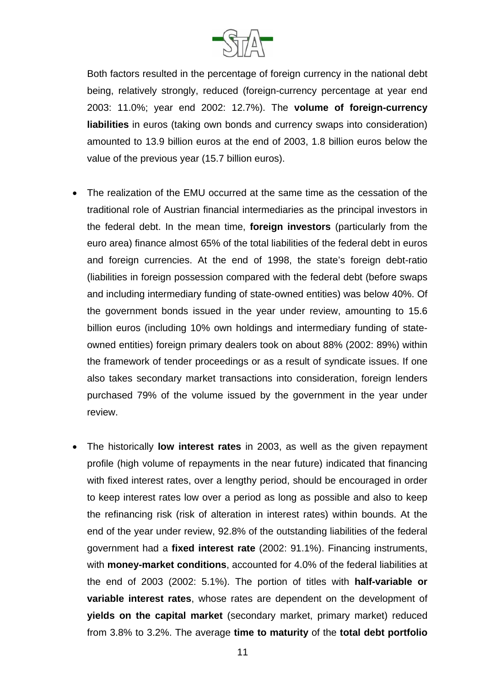

Both factors resulted in the percentage of foreign currency in the national debt being, relatively strongly, reduced (foreign-currency percentage at year end 2003: 11.0%; year end 2002: 12.7%). The **volume of foreign-currency liabilities** in euros (taking own bonds and currency swaps into consideration) amounted to 13.9 billion euros at the end of 2003, 1.8 billion euros below the value of the previous year (15.7 billion euros).

- The realization of the EMU occurred at the same time as the cessation of the traditional role of Austrian financial intermediaries as the principal investors in the federal debt. In the mean time, **foreign investors** (particularly from the euro area) finance almost 65% of the total liabilities of the federal debt in euros and foreign currencies. At the end of 1998, the state's foreign debt-ratio (liabilities in foreign possession compared with the federal debt (before swaps and including intermediary funding of state-owned entities) was below 40%. Of the government bonds issued in the year under review, amounting to 15.6 billion euros (including 10% own holdings and intermediary funding of stateowned entities) foreign primary dealers took on about 88% (2002: 89%) within the framework of tender proceedings or as a result of syndicate issues. If one also takes secondary market transactions into consideration, foreign lenders purchased 79% of the volume issued by the government in the year under review.
- The historically **low interest rates** in 2003, as well as the given repayment profile (high volume of repayments in the near future) indicated that financing with fixed interest rates, over a lengthy period, should be encouraged in order to keep interest rates low over a period as long as possible and also to keep the refinancing risk (risk of alteration in interest rates) within bounds. At the end of the year under review, 92.8% of the outstanding liabilities of the federal government had a **fixed interest rate** (2002: 91.1%). Financing instruments, with **money-market conditions**, accounted for 4.0% of the federal liabilities at the end of 2003 (2002: 5.1%). The portion of titles with **half-variable or variable interest rates**, whose rates are dependent on the development of **yields on the capital market** (secondary market, primary market) reduced from 3.8% to 3.2%. The average **time to maturity** of the **total debt portfolio**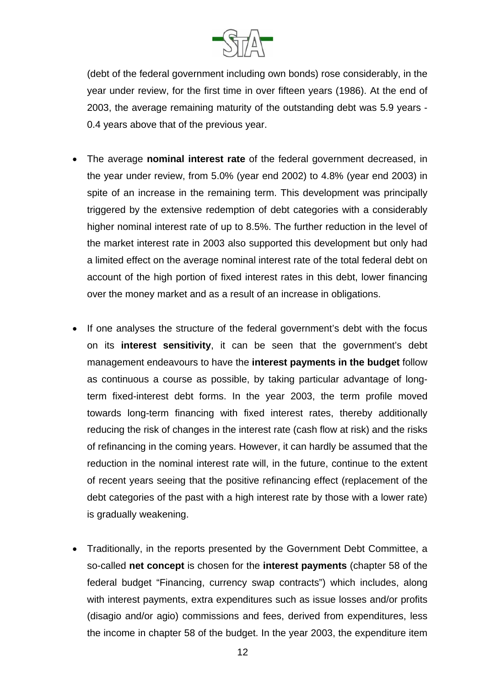

(debt of the federal government including own bonds) rose considerably, in the year under review, for the first time in over fifteen years (1986). At the end of 2003, the average remaining maturity of the outstanding debt was 5.9 years - 0.4 years above that of the previous year.

- The average **nominal interest rate** of the federal government decreased, in the year under review, from 5.0% (year end 2002) to 4.8% (year end 2003) in spite of an increase in the remaining term. This development was principally triggered by the extensive redemption of debt categories with a considerably higher nominal interest rate of up to 8.5%. The further reduction in the level of the market interest rate in 2003 also supported this development but only had a limited effect on the average nominal interest rate of the total federal debt on account of the high portion of fixed interest rates in this debt, lower financing over the money market and as a result of an increase in obligations.
- If one analyses the structure of the federal government's debt with the focus on its **interest sensitivity**, it can be seen that the government's debt management endeavours to have the **interest payments in the budget** follow as continuous a course as possible, by taking particular advantage of longterm fixed-interest debt forms. In the year 2003, the term profile moved towards long-term financing with fixed interest rates, thereby additionally reducing the risk of changes in the interest rate (cash flow at risk) and the risks of refinancing in the coming years. However, it can hardly be assumed that the reduction in the nominal interest rate will, in the future, continue to the extent of recent years seeing that the positive refinancing effect (replacement of the debt categories of the past with a high interest rate by those with a lower rate) is gradually weakening.
- Traditionally, in the reports presented by the Government Debt Committee, a so-called **net concept** is chosen for the **interest payments** (chapter 58 of the federal budget "Financing, currency swap contracts") which includes, along with interest payments, extra expenditures such as issue losses and/or profits (disagio and/or agio) commissions and fees, derived from expenditures, less the income in chapter 58 of the budget. In the year 2003, the expenditure item